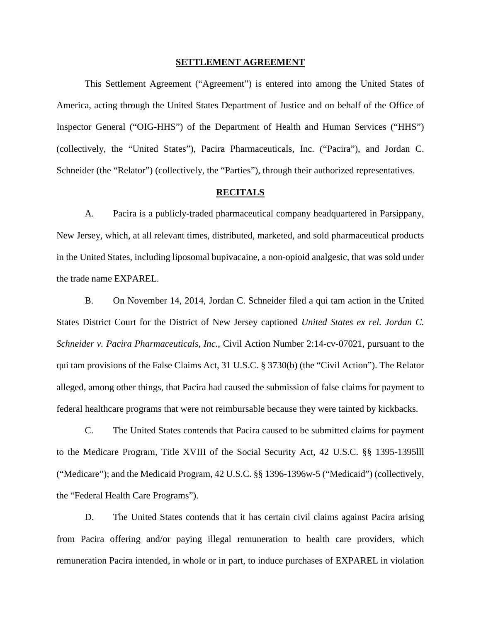#### **SETTLEMENT AGREEMENT**

This Settlement Agreement ("Agreement") is entered into among the United States of America, acting through the United States Department of Justice and on behalf of the Office of Inspector General ("OIG-HHS") of the Department of Health and Human Services ("HHS") (collectively, the "United States"), Pacira Pharmaceuticals, Inc. ("Pacira"), and Jordan C. Schneider (the "Relator") (collectively, the "Parties"), through their authorized representatives.

#### **RECITALS**

A. Pacira is a publicly-traded pharmaceutical company headquartered in Parsippany, New Jersey, which, at all relevant times, distributed, marketed, and sold pharmaceutical products in the United States, including liposomal bupivacaine, a non-opioid analgesic, that was sold under the trade name EXPAREL.

B. On November 14, 2014, Jordan C. Schneider filed a qui tam action in the United States District Court for the District of New Jersey captioned *United States ex rel. Jordan C. Schneider v. Pacira Pharmaceuticals, Inc.*, Civil Action Number 2:14-cv-07021, pursuant to the qui tam provisions of the False Claims Act, 31 U.S.C. § 3730(b) (the "Civil Action"). The Relator alleged, among other things, that Pacira had caused the submission of false claims for payment to federal healthcare programs that were not reimbursable because they were tainted by kickbacks.

C. The United States contends that Pacira caused to be submitted claims for payment to the Medicare Program, Title XVIII of the Social Security Act, 42 U.S.C. §§ 1395-1395lll ("Medicare"); and the Medicaid Program, 42 U.S.C. §§ 1396-1396w-5 ("Medicaid") (collectively, the "Federal Health Care Programs").

D. The United States contends that it has certain civil claims against Pacira arising from Pacira offering and/or paying illegal remuneration to health care providers, which remuneration Pacira intended, in whole or in part, to induce purchases of EXPAREL in violation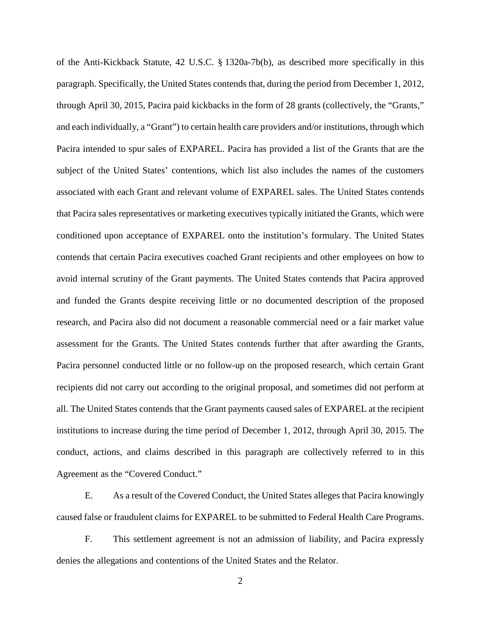of the Anti-Kickback Statute, 42 U.S.C. § 1320a-7b(b), as described more specifically in this paragraph. Specifically, the United States contends that, during the period from December 1, 2012, through April 30, 2015, Pacira paid kickbacks in the form of 28 grants (collectively, the "Grants," and each individually, a "Grant") to certain health care providers and/or institutions, through which Pacira intended to spur sales of EXPAREL. Pacira has provided a list of the Grants that are the subject of the United States' contentions, which list also includes the names of the customers associated with each Grant and relevant volume of EXPAREL sales. The United States contends that Pacira sales representatives or marketing executives typically initiated the Grants, which were conditioned upon acceptance of EXPAREL onto the institution's formulary. The United States contends that certain Pacira executives coached Grant recipients and other employees on how to avoid internal scrutiny of the Grant payments. The United States contends that Pacira approved and funded the Grants despite receiving little or no documented description of the proposed research, and Pacira also did not document a reasonable commercial need or a fair market value assessment for the Grants. The United States contends further that after awarding the Grants, Pacira personnel conducted little or no follow-up on the proposed research, which certain Grant recipients did not carry out according to the original proposal, and sometimes did not perform at all. The United States contends that the Grant payments caused sales of EXPAREL at the recipient institutions to increase during the time period of December 1, 2012, through April 30, 2015. The conduct, actions, and claims described in this paragraph are collectively referred to in this Agreement as the "Covered Conduct."

E. As a result of the Covered Conduct, the United States alleges that Pacira knowingly caused false or fraudulent claims for EXPAREL to be submitted to Federal Health Care Programs.

F. This settlement agreement is not an admission of liability, and Pacira expressly denies the allegations and contentions of the United States and the Relator.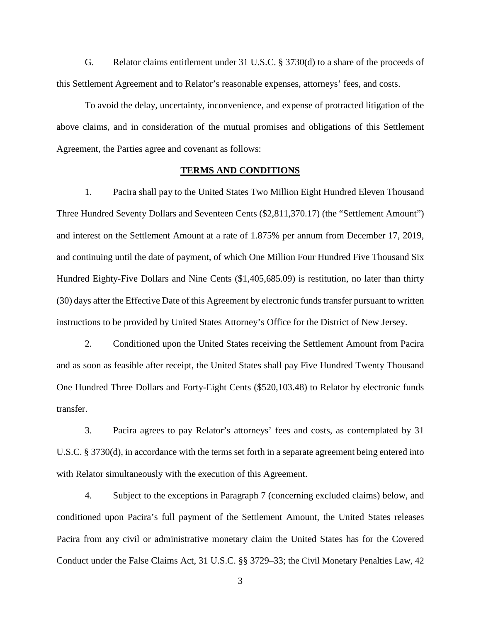G. Relator claims entitlement under 31 U.S.C. § 3730(d) to a share of the proceeds of this Settlement Agreement and to Relator's reasonable expenses, attorneys' fees, and costs.

 To avoid the delay, uncertainty, inconvenience, and expense of protracted litigation of the above claims, and in consideration of the mutual promises and obligations of this Settlement Agreement, the Parties agree and covenant as follows:

### **TERMS AND CONDITIONS**

<span id="page-2-2"></span>1. Pacira shall pay to the United States Two Million Eight Hundred Eleven Thousand Three Hundred Seventy Dollars and Seventeen Cents (\$2,811,370.17) (the "Settlement Amount") and interest on the Settlement Amount at a rate of 1.875% per annum from December 17, 2019, and continuing until the date of payment, of which One Million Four Hundred Five Thousand Six Hundred Eighty-Five Dollars and Nine Cents (\$1,405,685.09) is restitution, no later than thirty (30) days after the Effective Date of this Agreement by electronic funds transfer pursuant to written instructions to be provided by United States Attorney's Office for the District of New Jersey.

<span id="page-2-1"></span>2. Conditioned upon the United States receiving the Settlement Amount from Pacira and as soon as feasible after receipt, the United States shall pay Five Hundred Twenty Thousand One Hundred Three Dollars and Forty-Eight Cents (\$520,103.48) to Relator by electronic funds transfer.

<span id="page-2-3"></span>3. Pacira agrees to pay Relator's attorneys' fees and costs, as contemplated by 31 U.S.C. § 3730(d), in accordance with the terms set forth in a separate agreement being entered into with Relator simultaneously with the execution of this Agreement.

<span id="page-2-0"></span>4. Subject to the exceptions in Paragraph [7](#page-3-0) (concerning excluded claims) below, and conditioned upon Pacira's full payment of the Settlement Amount, the United States releases Pacira from any civil or administrative monetary claim the United States has for the Covered Conduct under the False Claims Act, 31 U.S.C. §§ 3729–33; the Civil Monetary Penalties Law, 42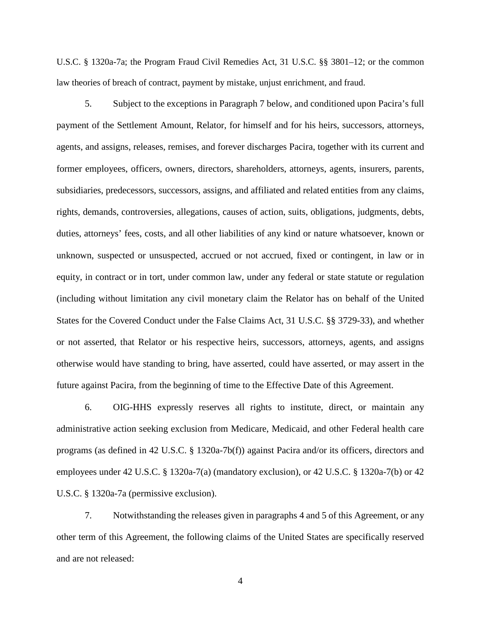U.S.C. § 1320a-7a; the Program Fraud Civil Remedies Act, 31 U.S.C. §§ 3801–12; or the common law theories of breach of contract, payment by mistake, unjust enrichment, and fraud.

<span id="page-3-1"></span>5. Subject to the exceptions in Paragraph [7](#page-3-0) below, and conditioned upon Pacira's full payment of the Settlement Amount, Relator, for himself and for his heirs, successors, attorneys, agents, and assigns, releases, remises, and forever discharges Pacira, together with its current and former employees, officers, owners, directors, shareholders, attorneys, agents, insurers, parents, subsidiaries, predecessors, successors, assigns, and affiliated and related entities from any claims, rights, demands, controversies, allegations, causes of action, suits, obligations, judgments, debts, duties, attorneys' fees, costs, and all other liabilities of any kind or nature whatsoever, known or unknown, suspected or unsuspected, accrued or not accrued, fixed or contingent, in law or in equity, in contract or in tort, under common law, under any federal or state statute or regulation (including without limitation any civil monetary claim the Relator has on behalf of the United States for the Covered Conduct under the False Claims Act, 31 U.S.C. §§ 3729-33), and whether or not asserted, that Relator or his respective heirs, successors, attorneys, agents, and assigns otherwise would have standing to bring, have asserted, could have asserted, or may assert in the future against Pacira, from the beginning of time to the Effective Date of this Agreement.

6. OIG-HHS expressly reserves all rights to institute, direct, or maintain any administrative action seeking exclusion from Medicare, Medicaid, and other Federal health care programs (as defined in 42 U.S.C. § 1320a-7b(f)) against Pacira and/or its officers, directors and employees under 42 U.S.C. § 1320a-7(a) (mandatory exclusion), or 42 U.S.C. § 1320a-7(b) or 42 U.S.C. § 1320a-7a (permissive exclusion).

<span id="page-3-0"></span>7. Notwithstanding the releases given in paragraphs [4](#page-2-0) and [5](#page-3-1) of this Agreement, or any other term of this Agreement, the following claims of the United States are specifically reserved and are not released: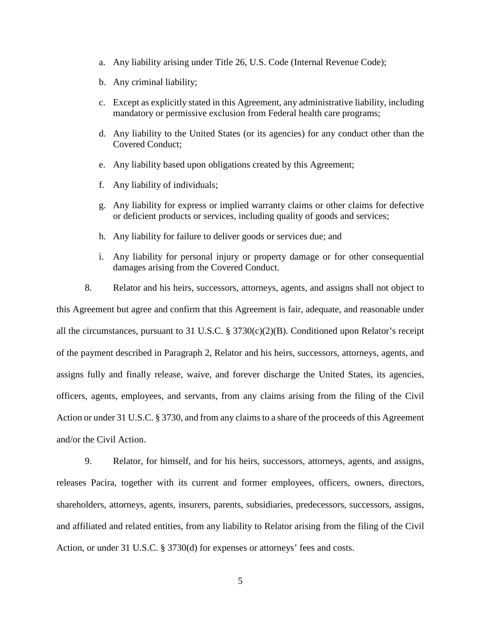- a. Any liability arising under Title 26, U.S. Code (Internal Revenue Code);
- b. Any criminal liability;
- c. Except as explicitly stated in this Agreement, any administrative liability, including mandatory or permissive exclusion from Federal health care programs;
- d. Any liability to the United States (or its agencies) for any conduct other than the Covered Conduct;
- e. Any liability based upon obligations created by this Agreement;
- f. Any liability of individuals;
- g. Any liability for express or implied warranty claims or other claims for defective or deficient products or services, including quality of goods and services;
- h. Any liability for failure to deliver goods or services due; and
- i. Any liability for personal injury or property damage or for other consequential damages arising from the Covered Conduct.

8. Relator and his heirs, successors, attorneys, agents, and assigns shall not object to this Agreement but agree and confirm that this Agreement is fair, adequate, and reasonable under all the circumstances, pursuant to 31 U.S.C. § 3730(c)(2)(B). Conditioned upon Relator's receipt of the payment described in Paragraph [2,](#page-2-1) Relator and his heirs, successors, attorneys, agents, and assigns fully and finally release, waive, and forever discharge the United States, its agencies, officers, agents, employees, and servants, from any claims arising from the filing of the Civil Action or under 31 U.S.C. § 3730, and from any claims to a share of the proceeds of this Agreement and/or the Civil Action.

9. Relator, for himself, and for his heirs, successors, attorneys, agents, and assigns, releases Pacira, together with its current and former employees, officers, owners, directors, shareholders, attorneys, agents, insurers, parents, subsidiaries, predecessors, successors, assigns, and affiliated and related entities, from any liability to Relator arising from the filing of the Civil Action, or under 31 U.S.C. § 3730(d) for expenses or attorneys' fees and costs.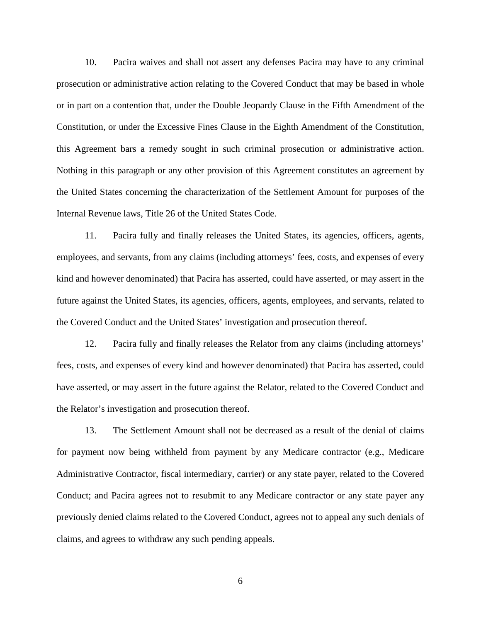10. Pacira waives and shall not assert any defenses Pacira may have to any criminal prosecution or administrative action relating to the Covered Conduct that may be based in whole or in part on a contention that, under the Double Jeopardy Clause in the Fifth Amendment of the Constitution, or under the Excessive Fines Clause in the Eighth Amendment of the Constitution, this Agreement bars a remedy sought in such criminal prosecution or administrative action. Nothing in this paragraph or any other provision of this Agreement constitutes an agreement by the United States concerning the characterization of the Settlement Amount for purposes of the Internal Revenue laws, Title 26 of the United States Code.

11. Pacira fully and finally releases the United States, its agencies, officers, agents, employees, and servants, from any claims (including attorneys' fees, costs, and expenses of every kind and however denominated) that Pacira has asserted, could have asserted, or may assert in the future against the United States, its agencies, officers, agents, employees, and servants, related to the Covered Conduct and the United States' investigation and prosecution thereof.

12. Pacira fully and finally releases the Relator from any claims (including attorneys' fees, costs, and expenses of every kind and however denominated) that Pacira has asserted, could have asserted, or may assert in the future against the Relator, related to the Covered Conduct and the Relator's investigation and prosecution thereof.

13. The Settlement Amount shall not be decreased as a result of the denial of claims for payment now being withheld from payment by any Medicare contractor (e.g., Medicare Administrative Contractor, fiscal intermediary, carrier) or any state payer, related to the Covered Conduct; and Pacira agrees not to resubmit to any Medicare contractor or any state payer any previously denied claims related to the Covered Conduct, agrees not to appeal any such denials of claims, and agrees to withdraw any such pending appeals.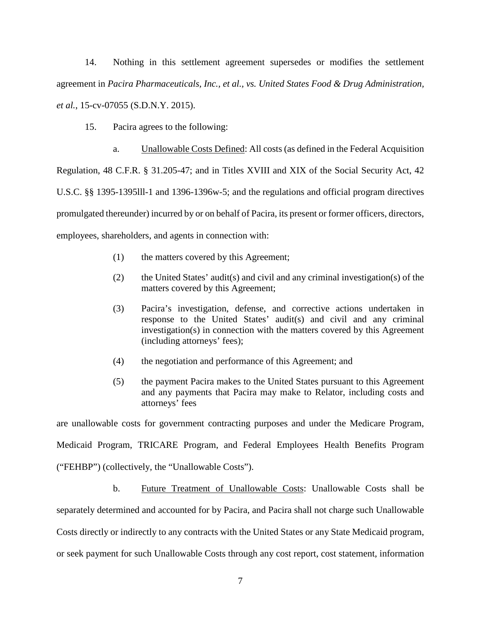14. Nothing in this settlement agreement supersedes or modifies the settlement agreement in *Pacira Pharmaceuticals, Inc., et al., vs. United States Food & Drug Administration, et al.*, 15-cv-07055 (S.D.N.Y. 2015).

15. Pacira agrees to the following:

 a. Unallowable Costs Defined: All costs (as defined in the Federal Acquisition Regulation, 48 C.F.R. § 31.205-47; and in Titles XVIII and XIX of the Social Security Act, 42 U.S.C. §§ 1395-1395lll-1 and 1396-1396w-5; and the regulations and official program directives promulgated thereunder) incurred by or on behalf of Pacira, its present or former officers, directors, employees, shareholders, and agents in connection with:

- (1) the matters covered by this Agreement;
- (2) the United States' audit(s) and civil and any criminal investigation(s) of the matters covered by this Agreement;
- (3) Pacira's investigation, defense, and corrective actions undertaken in response to the United States' audit(s) and civil and any criminal investigation(s) in connection with the matters covered by this Agreement (including attorneys' fees);
- (4) the negotiation and performance of this Agreement; and
- (5) the payment Pacira makes to the United States pursuant to this Agreement and any payments that Pacira may make to Relator, including costs and attorneys' fees

are unallowable costs for government contracting purposes and under the Medicare Program, Medicaid Program, TRICARE Program, and Federal Employees Health Benefits Program ("FEHBP") (collectively, the "Unallowable Costs").

 b. Future Treatment of Unallowable Costs: Unallowable Costs shall be separately determined and accounted for by Pacira, and Pacira shall not charge such Unallowable Costs directly or indirectly to any contracts with the United States or any State Medicaid program, or seek payment for such Unallowable Costs through any cost report, cost statement, information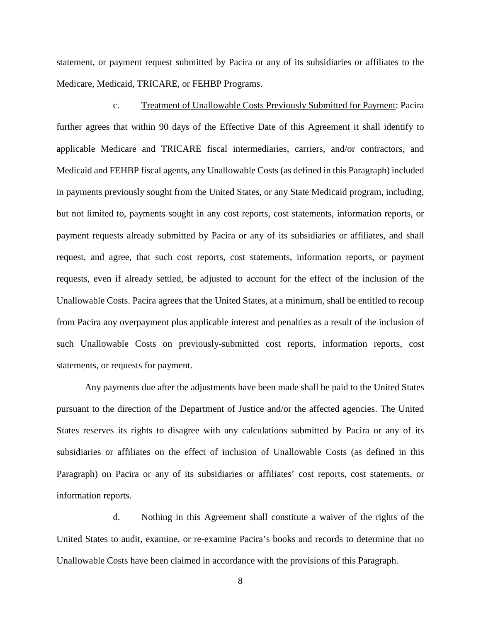statement, or payment request submitted by Pacira or any of its subsidiaries or affiliates to the Medicare, Medicaid, TRICARE, or FEHBP Programs.

 c. Treatment of Unallowable Costs Previously Submitted for Payment: Pacira further agrees that within 90 days of the Effective Date of this Agreement it shall identify to applicable Medicare and TRICARE fiscal intermediaries, carriers, and/or contractors, and Medicaid and FEHBP fiscal agents, any Unallowable Costs (as defined in this Paragraph) included in payments previously sought from the United States, or any State Medicaid program, including, but not limited to, payments sought in any cost reports, cost statements, information reports, or payment requests already submitted by Pacira or any of its subsidiaries or affiliates, and shall request, and agree, that such cost reports, cost statements, information reports, or payment requests, even if already settled, be adjusted to account for the effect of the inclusion of the Unallowable Costs. Pacira agrees that the United States, at a minimum, shall be entitled to recoup from Pacira any overpayment plus applicable interest and penalties as a result of the inclusion of such Unallowable Costs on previously-submitted cost reports, information reports, cost statements, or requests for payment.

Any payments due after the adjustments have been made shall be paid to the United States pursuant to the direction of the Department of Justice and/or the affected agencies. The United States reserves its rights to disagree with any calculations submitted by Pacira or any of its subsidiaries or affiliates on the effect of inclusion of Unallowable Costs (as defined in this Paragraph) on Pacira or any of its subsidiaries or affiliates' cost reports, cost statements, or information reports.

 d. Nothing in this Agreement shall constitute a waiver of the rights of the United States to audit, examine, or re-examine Pacira's books and records to determine that no Unallowable Costs have been claimed in accordance with the provisions of this Paragraph.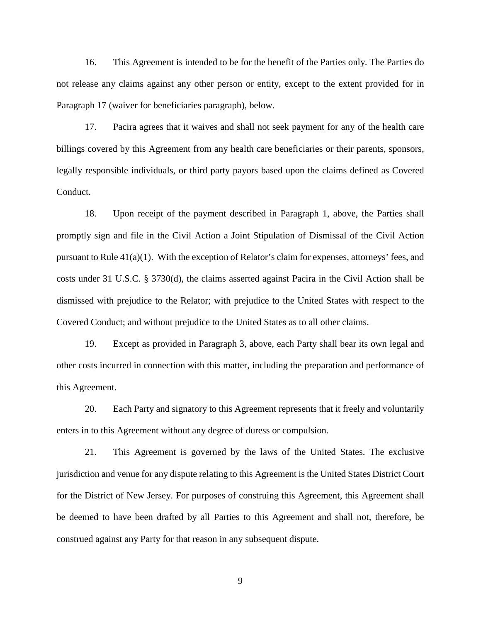16. This Agreement is intended to be for the benefit of the Parties only. The Parties do not release any claims against any other person or entity, except to the extent provided for in Paragraph [17](#page-8-0) (waiver for beneficiaries paragraph), below.

<span id="page-8-0"></span>17. Pacira agrees that it waives and shall not seek payment for any of the health care billings covered by this Agreement from any health care beneficiaries or their parents, sponsors, legally responsible individuals, or third party payors based upon the claims defined as Covered Conduct.

18. Upon receipt of the payment described in Paragraph [1,](#page-2-2) above, the Parties shall promptly sign and file in the Civil Action a Joint Stipulation of Dismissal of the Civil Action pursuant to Rule 41(a)(1). With the exception of Relator's claim for expenses, attorneys' fees, and costs under 31 U.S.C. § 3730(d), the claims asserted against Pacira in the Civil Action shall be dismissed with prejudice to the Relator; with prejudice to the United States with respect to the Covered Conduct; and without prejudice to the United States as to all other claims.

19. Except as provided in Paragraph [3,](#page-2-3) above, each Party shall bear its own legal and other costs incurred in connection with this matter, including the preparation and performance of this Agreement.

20. Each Party and signatory to this Agreement represents that it freely and voluntarily enters in to this Agreement without any degree of duress or compulsion.

21. This Agreement is governed by the laws of the United States. The exclusive jurisdiction and venue for any dispute relating to this Agreement is the United States District Court for the District of New Jersey. For purposes of construing this Agreement, this Agreement shall be deemed to have been drafted by all Parties to this Agreement and shall not, therefore, be construed against any Party for that reason in any subsequent dispute.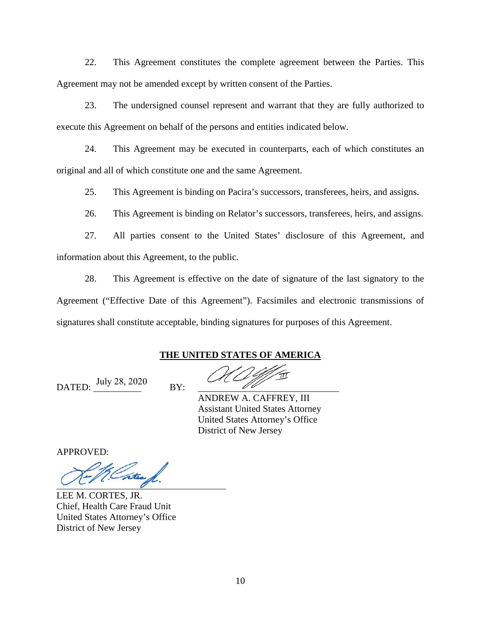22. This Agreement constitutes the complete agreement between the Parties. This Agreement may not be amended except by written consent of the Parties.

23. The undersigned counsel represent and warrant that they are fully authorized to execute this Agreement on behalf of the persons and entities indicated below.

24. This Agreement may be executed in counterparts, each of which constitutes an original and all of which constitute one and the same Agreement.

25. This Agreement is binding on Pacira's successors, transferees, heirs, and assigns.

26. This Agreement is binding on Relator's successors, transferees, heirs, and assigns.

27. All parties consent to the United States' disclosure of this Agreement, and information about this Agreement, to the public.

28. This Agreement is effective on the date of signature of the last signatory to the Agreement ("Effective Date of this Agreement"). Facsimiles and electronic transmissions of signatures shall constitute acceptable, binding signatures for purposes of this Agreement.

## **THE UNITED STATES OF AMERICA**

DATED:  $\frac{\text{July } 28, 2020}{\text{BY:}}$ 

ANDREW A. CAFFREY, III Assistant United States Attorney United States Attorney's Office District of New Jersey

APPROVED:

Cater 1

LEE M. CORTES, JR. Chief, Health Care Fraud Unit United States Attorney's Office District of New Jersey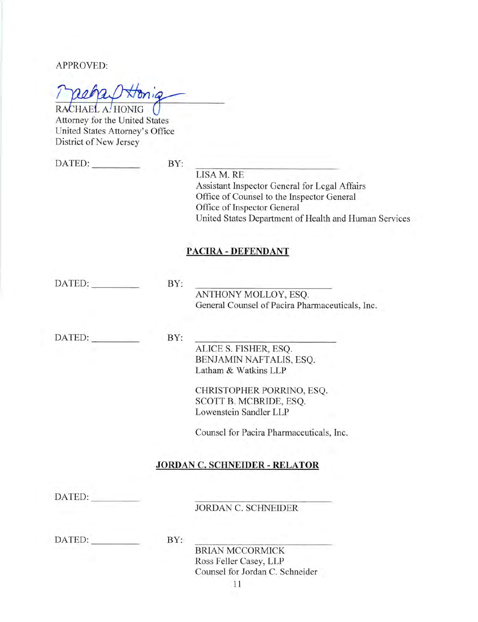RACHAEL A. HONIG Attorney for the United States United States Attorney's Office District of New Jersey

DATED:

BY:

LISA M. RE Assistant Inspector General for Legal Affairs Office of Counsel to the Inspector General Office of Inspector General United States Department of Health and Human Services

# **PACIRA - DEFENDANT**

DATED:

BY:

ANTHONY MOLLOY, ESQ. General Counsel of Pacira Pharmaceuticals, Inc.

DATED: BY:

> ALICE S. FISHER, ESQ. BENJAMIN NAFTALIS, ESQ. Latham & Watkins LLP

CHRISTOPHER PORRINO, ESQ. SCOTT B. MCBRIDE, ESQ. Lowenstein Sandler LLP

Counsel for Pacira Pharmaceuticals, Inc.

## **JORDAN C. SCHNEIDER - RELATOR**

DATED:

**JORDAN C. SCHNEIDER** 

DATED:

 $BY:$ 

**BRIAN MCCORMICK** Ross Feller Casey, LLP Counsel for Jordan C. Schneider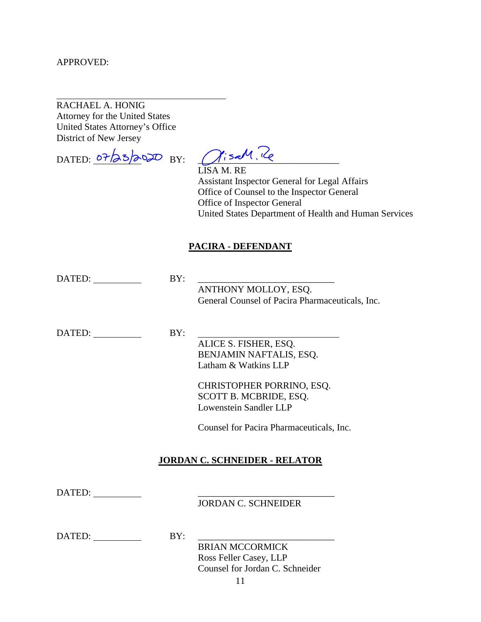$\overline{a}$ 

# RACHAEL A. HONIG

Attorney for the United States United States Attorney's Office District of New Jersey

DATED:  $\frac{\partial^2/3}{\partial^2}$  BY:  $\frac{\partial}{\partial^2}$  BY:

 LISA M. RE Assistant Inspector General for Legal Affairs Office of Counsel to the Inspector General Office of Inspector General United States Department of Health and Human Services

# **PACIRA - DEFENDANT**

| DATED: | BY: | ANTHONY MOLLOY, ESQ.<br>General Counsel of Pacira Pharmaceuticals, Inc.                                                                                                                               |
|--------|-----|-------------------------------------------------------------------------------------------------------------------------------------------------------------------------------------------------------|
| DATED: | BY: | ALICE S. FISHER, ESQ.<br>BENJAMIN NAFTALIS, ESQ.<br>Latham & Watkins LLP<br>CHRISTOPHER PORRINO, ESQ.<br>SCOTT B. MCBRIDE, ESQ.<br>Lowenstein Sandler LLP<br>Counsel for Pacira Pharmaceuticals, Inc. |
|        |     | <b>JORDAN C. SCHNEIDER - RELATOR</b>                                                                                                                                                                  |
| DATED: |     | <b>JORDAN C. SCHNEIDER</b>                                                                                                                                                                            |
| DATED: | BY: | <b>BRIAN MCCORMICK</b><br>Ross Feller Casey, LLP<br>Counsel for Jordan C. Schneider                                                                                                                   |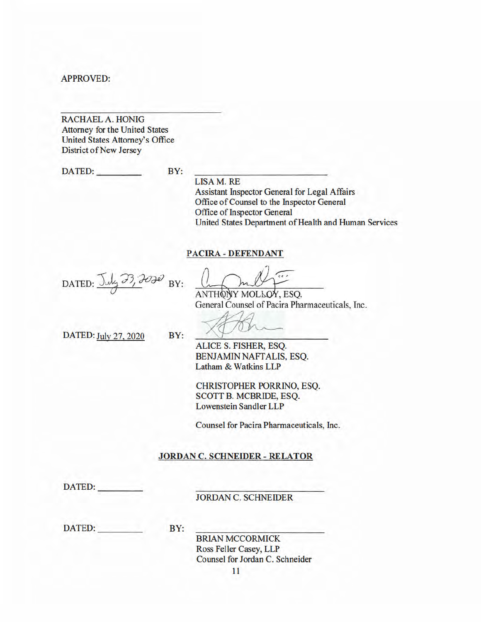**RACHAEL A. HONIG Attorney for the United States** United States Attorney's Office **District of New Jersey** 

DATED:  $BY:$ 

**LISA M. RE** Assistant Inspector General for Legal Affairs Office of Counsel to the Inspector General Office of Inspector General United States Department of Health and Human Services

### **PACIRA - DEFENDANT**

DATED: July 33, 2020 BY:

ANTHONY MOLLOY, ESO.

General Counsel of Pacira Pharmaceuticals, Inc.

DATED: July 27, 2020

ALICE S. FISHER, ESQ. BENJAMIN NAFTALIS, ESO. Latham & Watkins LLP

CHRISTOPHER PORRINO, ESQ. **SCOTT B. MCBRIDE, ESQ. Lowenstein Sandler LLP** 

Counsel for Pacira Pharmaceuticals, Inc.

### **JORDAN C. SCHNEIDER - RELATOR**

DATED:

**JORDAN C. SCHNEIDER** 

**DATED:** 

BY:

 $BY:$ 

**BRIAN MCCORMICK** Ross Feller Casey, LLP Counsel for Jordan C. Schneider